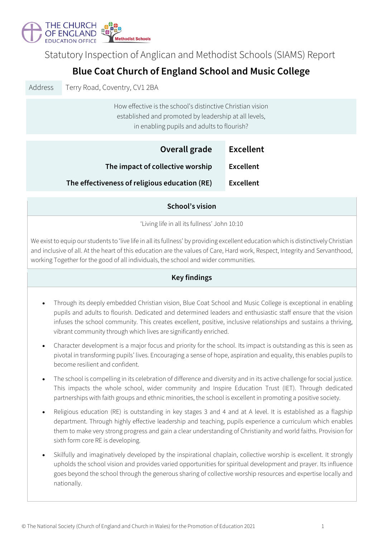

Statutory Inspection of Anglican and Methodist Schools (SIAMS) Report

# **Blue Coat Church of England School and Music College**

Address Terry Road, Coventry, CV1 2BA

How effective is the school's distinctive Christian vision established and promoted by leadership at all levels, in enabling pupils and adults to flourish?

| Overall grade                                 | <b>Excellent</b> |
|-----------------------------------------------|------------------|
| The impact of collective worship              | Excellent        |
| The effectiveness of religious education (RE) | <b>Excellent</b> |

## **School's vision**

'Living life in all its fullness' John 10:10

We exist to equip our students to 'live life in all its fullness' by providing excellent education which is distinctively Christian and inclusive of all. At the heart of this education are the values of Care, Hard work, Respect, Integrity and Servanthood, working Together for the good of all individuals, the school and wider communities.

## **Key findings**

- Through its deeply embedded Christian vision, Blue Coat School and Music College is exceptional in enabling pupils and adults to flourish. Dedicated and determined leaders and enthusiastic staff ensure that the vision infuses the school community. This creates excellent, positive, inclusive relationships and sustains a thriving, vibrant community through which lives are significantly enriched.
- Character development is a major focus and priority for the school. Its impact is outstanding as this is seen as pivotal in transforming pupils' lives. Encouraging a sense of hope, aspiration and equality, this enables pupils to become resilient and confident.
- The school is compelling in its celebration of difference and diversity and in its active challenge for social justice. This impacts the whole school, wider community and Inspire Education Trust (IET). Through dedicated partnerships with faith groups and ethnic minorities, the school is excellent in promoting a positive society.
- Religious education (RE) is outstanding in key stages 3 and 4 and at A level. It is established as a flagship department. Through highly effective leadership and teaching, pupils experience a curriculum which enables them to make very strong progress and gain a clear understanding of Christianity and world faiths. Provision for sixth form core RE is developing.
- Skilfully and imaginatively developed by the inspirational chaplain, collective worship is excellent. It strongly upholds the school vision and provides varied opportunities for spiritual development and prayer. Its influence goes beyond the school through the generous sharing of collective worship resources and expertise locally and nationally.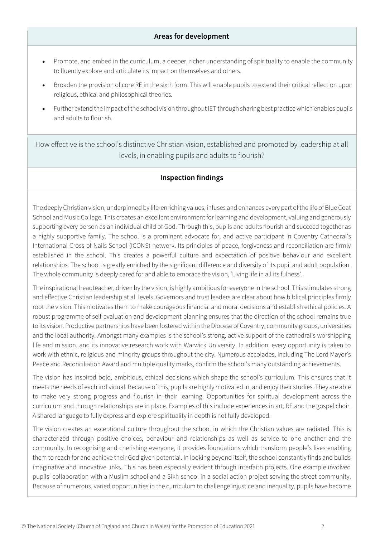#### **Areas for development**

- Promote, and embed in the curriculum, a deeper, richer understanding of spirituality to enable the community to fluently explore and articulate its impact on themselves and others.
- Broaden the provision of core RE in the sixth form. This will enable pupils to extend their critical reflection upon religious, ethical and philosophical theories.
- Further extend the impact of the school vision throughoutIET through sharing best practice which enables pupils and adults to flourish.

How effective is the school's distinctive Christian vision, established and promoted by leadership at all levels, in enabling pupils and adults to flourish?

#### **Inspection findings**

The deeply Christian vision, underpinned by life-enriching values, infuses and enhances every part of the life of Blue Coat School and Music College. This creates an excellent environment for learning and development, valuing and generously supporting every person as an individual child of God. Through this, pupils and adults flourish and succeed together as a highly supportive family. The school is a prominent advocate for, and active participant in Coventry Cathedral's International Cross of Nails School (ICONS) network. Its principles of peace, forgiveness and reconciliation are firmly established in the school. This creates a powerful culture and expectation of positive behaviour and excellent relationships. The school is greatly enriched by the significant difference and diversity of its pupil and adult population. The whole community is deeply cared for and able to embrace the vision, 'Living life in all its fulness'.

The inspirational headteacher, driven by the vision, is highly ambitious for everyone in the school. This stimulates strong and effective Christian leadership at all levels. Governors and trust leaders are clear about how biblical principles firmly root the vision. This motivates them to make courageous financial and moral decisions and establish ethical policies. A robust programme of self-evaluation and development planning ensures that the direction of the school remains true to its vision. Productive partnerships have been fostered within the Diocese of Coventry, community groups, universities and the local authority. Amongst many examples is the school's strong, active support of the cathedral's worshipping life and mission, and its innovative research work with Warwick University. In addition, every opportunity is taken to work with ethnic, religious and minority groups throughout the city. Numerous accolades, including The Lord Mayor's Peace and Reconciliation Award and multiple quality marks, confirm the school's many outstanding achievements.

The vision has inspired bold, ambitious, ethical decisions which shape the school's curriculum. This ensures that it meets the needs of each individual. Because of this, pupils are highly motivated in, and enjoy their studies. They are able to make very strong progress and flourish in their learning. Opportunities for spiritual development across the curriculum and through relationships are in place. Examples of this include experiences in art, RE and the gospel choir. A shared language to fully express and explore spirituality in depth is not fully developed.

The vision creates an exceptional culture throughout the school in which the Christian values are radiated. This is characterized through positive choices, behaviour and relationships as well as service to one another and the community. In recognising and cherishing everyone, it provides foundations which transform people's lives enabling them to reach for and achieve their God given potential. In looking beyond itself, the school constantly finds and builds imaginative and innovative links. This has been especially evident through interfaith projects. One example involved pupils' collaboration with a Muslim school and a Sikh school in a social action project serving the street community. Because of numerous, varied opportunities in the curriculum to challenge injustice and inequality, pupils have become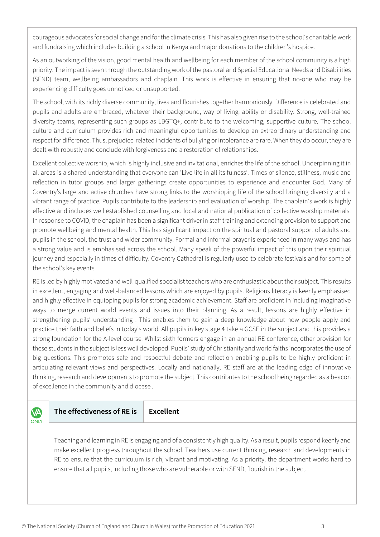courageous advocates for social change and for the climate crisis. This has also given rise to the school's charitable work and fundraising which includes building a school in Kenya and major donations to the children's hospice.

As an outworking of the vision, good mental health and wellbeing for each member of the school community is a high priority. The impact is seen through the outstanding work of the pastoral and Special Educational Needs and Disabilities (SEND) team, wellbeing ambassadors and chaplain. This work is effective in ensuring that no-one who may be experiencing difficulty goes unnoticed or unsupported.

The school, with its richly diverse community, lives and flourishes together harmoniously. Difference is celebrated and pupils and adults are embraced, whatever their background, way of living, ability or disability. Strong, well-trained diversity teams, representing such groups as LBGTQ+, contribute to the welcoming, supportive culture. The school culture and curriculum provides rich and meaningful opportunities to develop an extraordinary understanding and respect for difference. Thus, prejudice-related incidents of bullying or intolerance are rare. When they do occur, they are dealt with robustly and conclude with forgiveness and a restoration of relationships.

Excellent collective worship, which is highly inclusive and invitational, enriches the life of the school. Underpinning it in all areas is a shared understanding that everyone can 'Live life in all its fulness'. Times of silence, stillness, music and reflection in tutor groups and larger gatherings create opportunities to experience and encounter God. Many of Coventry's large and active churches have strong links to the worshipping life of the school bringing diversity and a vibrant range of practice. Pupils contribute to the leadership and evaluation of worship. The chaplain's work is highly effective and includes well established counselling and local and national publication of collective worship materials. In response to COVID, the chaplain has been a significant driver in staff training and extending provision to support and promote wellbeing and mental health. This has significant impact on the spiritual and pastoral support of adults and pupils in the school, the trust and wider community. Formal and informal prayer is experienced in many ways and has a strong value and is emphasised across the school. Many speak of the powerful impact of this upon their spiritual journey and especially in times of difficulty. Coventry Cathedral is regularly used to celebrate festivals and for some of the school's key events.

RE is led by highly motivated and well-qualified specialist teachers who are enthusiastic about their subject. This results in excellent, engaging and well-balanced lessons which are enjoyed by pupils. Religious literacy is keenly emphasised and highly effective in equipping pupils for strong academic achievement. Staff are proficient in including imaginative ways to merge current world events and issues into their planning. As a result, lessons are highly effective in strengthening pupils' understanding . This enables them to gain a deep knowledge about how people apply and practice their faith and beliefs in today's world. All pupils in key stage 4 take a GCSE in the subject and this provides a strong foundation for the A-level course. Whilst sixth formers engage in an annual RE conference, other provision for these students in the subject is less well developed. Pupils' study of Christianity and world faiths incorporates the use of big questions. This promotes safe and respectful debate and reflection enabling pupils to be highly proficient in articulating relevant views and perspectives. Locally and nationally, RE staff are at the leading edge of innovative thinking, research and developments to promote the subject. This contributes to the school being regarded as a beacon of excellence in the community and diocese .

**VA** ONLY **The effectiveness of RE is Excellent**

Teaching and learning in RE is engaging and of a consistently high quality. As a result, pupils respond keenly and make excellent progress throughout the school. Teachers use current thinking, research and developments in RE to ensure that the curriculum is rich, vibrant and motivating. As a priority, the department works hard to ensure that all pupils, including those who are vulnerable or with SEND, flourish in the subject.